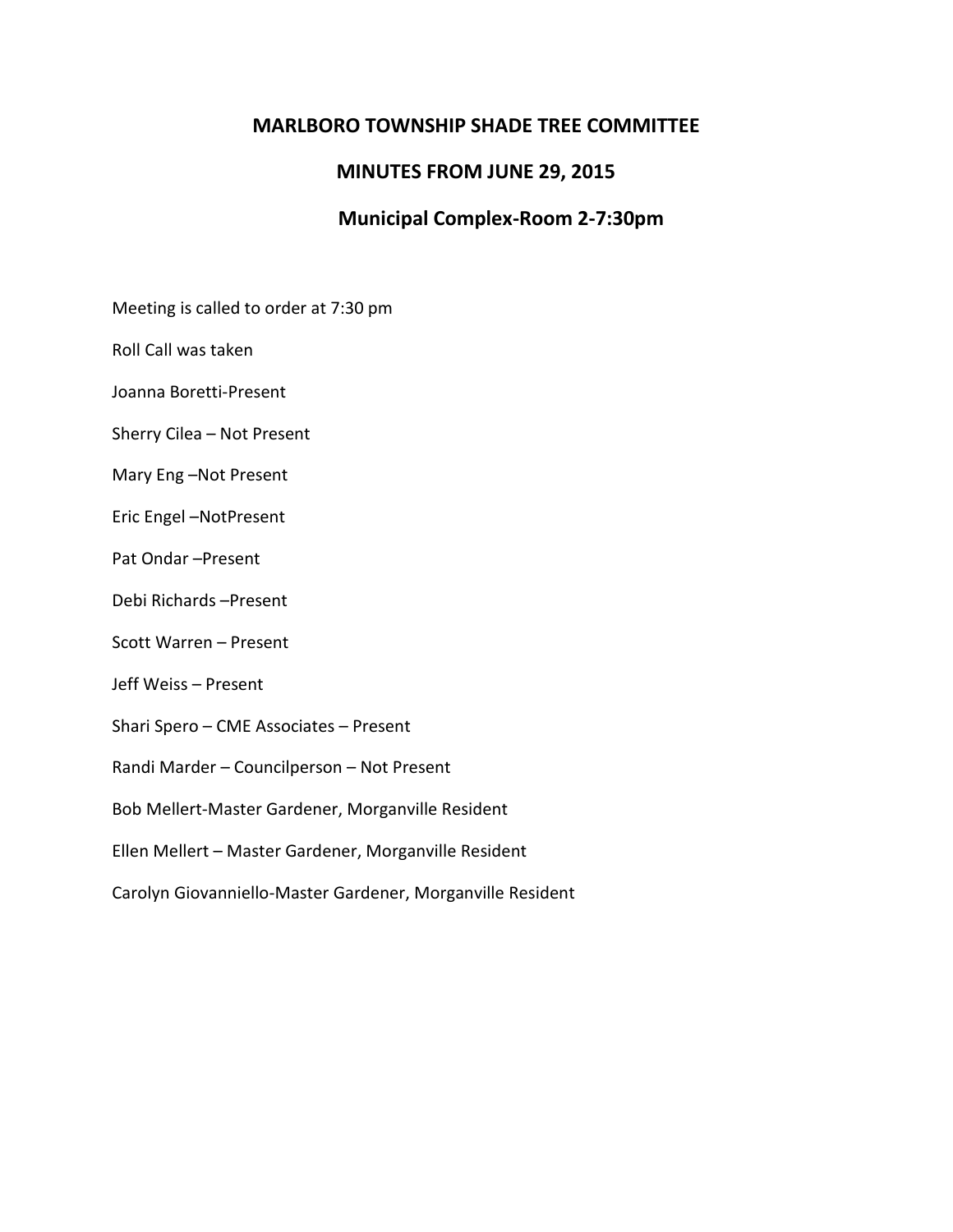## **MARLBORO TOWNSHIP SHADE TREE COMMITTEE**

## **MINUTES FROM JUNE 29, 2015**

# **Municipal Complex-Room 2-7:30pm**

Meeting is called to order at 7:30 pm

Roll Call was taken

Joanna Boretti-Present

Sherry Cilea – Not Present

Mary Eng –Not Present

Eric Engel –NotPresent

Pat Ondar –Present

Debi Richards –Present

Scott Warren – Present

Jeff Weiss – Present

Shari Spero – CME Associates – Present

Randi Marder – Councilperson – Not Present

Bob Mellert-Master Gardener, Morganville Resident

Ellen Mellert – Master Gardener, Morganville Resident

Carolyn Giovanniello-Master Gardener, Morganville Resident